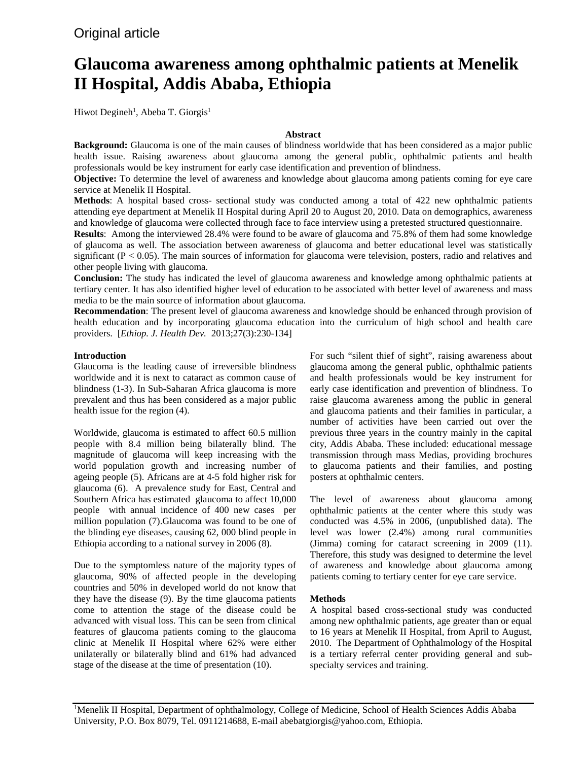# Original article

# **Glaucoma awareness among ophthalmic patients at Menelik II Hospital, Addis Ababa, Ethiopia**

Hiwot Degineh<sup>1</sup>, Abeba T. Giorgis<sup>1</sup>

#### **Abstract**

**Background:** Glaucoma is one of the main causes of blindness worldwide that has been considered as a major public health issue. Raising awareness about glaucoma among the general public, ophthalmic patients and health professionals would be key instrument for early case identification and prevention of blindness.

**Objective:** To determine the level of awareness and knowledge about glaucoma among patients coming for eye care service at Menelik II Hospital.

**Methods**: A hospital based cross- sectional study was conducted among a total of 422 new ophthalmic patients attending eye department at Menelik II Hospital during April 20 to August 20, 2010. Data on demographics, awareness and knowledge of glaucoma were collected through face to face interview using a pretested structured questionnaire.

**Results**: Among the interviewed 28.4% were found to be aware of glaucoma and 75.8% of them had some knowledge of glaucoma as well. The association between awareness of glaucoma and better educational level was statistically significant ( $P < 0.05$ ). The main sources of information for glaucoma were television, posters, radio and relatives and other people living with glaucoma.

**Conclusion:** The study has indicated the level of glaucoma awareness and knowledge among ophthalmic patients at tertiary center. It has also identified higher level of education to be associated with better level of awareness and mass media to be the main source of information about glaucoma.

**Recommendation**: The present level of glaucoma awareness and knowledge should be enhanced through provision of health education and by incorporating glaucoma education into the curriculum of high school and health care providers. [*Ethiop. J. Health Dev.* 2013;27(3):230-134]

#### **Introduction**

Glaucoma is the leading cause of irreversible blindness worldwide and it is next to cataract as common cause of blindness (1-3). In Sub-Saharan Africa glaucoma is more prevalent and thus has been considered as a major public health issue for the region (4).

Worldwide, glaucoma is estimated to affect 60.5 million people with 8.4 million being bilaterally blind. The magnitude of glaucoma will keep increasing with the world population growth and increasing number of ageing people (5). Africans are at 4-5 fold higher risk for glaucoma (6). A prevalence study for East, Central and Southern Africa has estimated glaucoma to affect 10,000 people with annual incidence of 400 new cases per million population (7).Glaucoma was found to be one of the blinding eye diseases, causing 62, 000 blind people in Ethiopia according to a national survey in 2006 (8).

Due to the symptomless nature of the majority types of glaucoma, 90% of affected people in the developing countries and 50% in developed world do not know that they have the disease (9). By the time glaucoma patients come to attention the stage of the disease could be advanced with visual loss. This can be seen from clinical features of glaucoma patients coming to the glaucoma clinic at Menelik II Hospital where 62% were either unilaterally or bilaterally blind and 61% had advanced stage of the disease at the time of presentation (10).

For such "silent thief of sight", raising awareness about glaucoma among the general public, ophthalmic patients and health professionals would be key instrument for early case identification and prevention of blindness. To raise glaucoma awareness among the public in general and glaucoma patients and their families in particular, a number of activities have been carried out over the previous three years in the country mainly in the capital city, Addis Ababa. These included: educational message transmission through mass Medias, providing brochures to glaucoma patients and their families, and posting posters at ophthalmic centers.

The level of awareness about glaucoma among ophthalmic patients at the center where this study was conducted was 4.5% in 2006, (unpublished data). The level was lower (2.4%) among rural communities (Jimma) coming for cataract screening in 2009 (11). Therefore, this study was designed to determine the level of awareness and knowledge about glaucoma among patients coming to tertiary center for eye care service.

#### **Methods**

A hospital based cross-sectional study was conducted among new ophthalmic patients, age greater than or equal to 16 years at Menelik II Hospital, from April to August, 2010. The Department of Ophthalmology of the Hospital is a tertiary referral center providing general and subspecialty services and training.

<sup>1</sup>Menelik II Hospital, Department of ophthalmology, College of Medicine, School of Health Sciences Addis Ababa University, P.O. Box 8079, Tel. 0911214688, E-mail abebatgiorgis@yahoo.com, Ethiopia.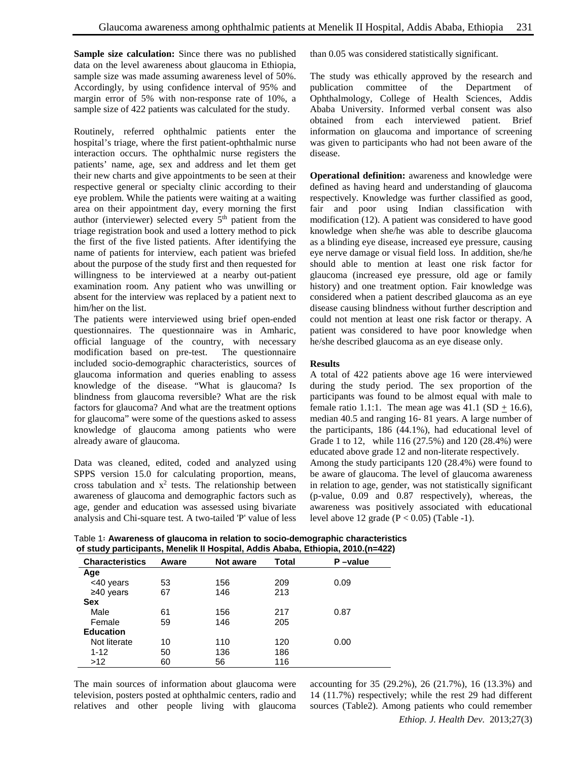**Sample size calculation:** Since there was no published data on the level awareness about glaucoma in Ethiopia, sample size was made assuming awareness level of 50%. Accordingly, by using confidence interval of 95% and margin error of 5% with non-response rate of 10%, a sample size of 422 patients was calculated for the study.

Routinely, referred ophthalmic patients enter the hospital's triage, where the first patient-ophthalmic nurse interaction occurs. The ophthalmic nurse registers the patients' name, age, sex and address and let them get their new charts and give appointments to be seen at their respective general or specialty clinic according to their eye problem. While the patients were waiting at a waiting area on their appointment day, every morning the first author (interviewer) selected every  $5<sup>th</sup>$  patient from the triage registration book and used a lottery method to pick the first of the five listed patients. After identifying the name of patients for interview, each patient was briefed about the purpose of the study first and then requested for willingness to be interviewed at a nearby out-patient examination room. Any patient who was unwilling or absent for the interview was replaced by a patient next to him/her on the list.

The patients were interviewed using brief open-ended questionnaires. The questionnaire was in Amharic, official language of the country, with necessary modification based on pre-test. The questionnaire included socio-demographic characteristics, sources of glaucoma information and queries enabling to assess knowledge of the disease. "What is glaucoma? Is blindness from glaucoma reversible? What are the risk factors for glaucoma? And what are the treatment options for glaucoma" were some of the questions asked to assess knowledge of glaucoma among patients who were already aware of glaucoma.

Data was cleaned, edited, coded and analyzed using SPPS version 15.0 for calculating proportion, means, cross tabulation and  $x^2$  tests. The relationship between awareness of glaucoma and demographic factors such as age, gender and education was assessed using bivariate analysis and Chi-square test. A two-tailed 'P' value of less than 0.05 was considered statistically significant.

The study was ethically approved by the research and publication committee of the Department of Ophthalmology, College of Health Sciences, Addis Ababa University. Informed verbal consent was also obtained from each interviewed patient. Brief information on glaucoma and importance of screening was given to participants who had not been aware of the disease.

**Operational definition:** awareness and knowledge were defined as having heard and understanding of glaucoma respectively. Knowledge was further classified as good, fair and poor using Indian classification with modification (12). A patient was considered to have good knowledge when she/he was able to describe glaucoma as a blinding eye disease, increased eye pressure, causing eye nerve damage or visual field loss. In addition, she/he should able to mention at least one risk factor for glaucoma (increased eye pressure, old age or family history) and one treatment option. Fair knowledge was considered when a patient described glaucoma as an eye disease causing blindness without further description and could not mention at least one risk factor or therapy. A patient was considered to have poor knowledge when he/she described glaucoma as an eye disease only.

#### **Results**

A total of 422 patients above age 16 were interviewed during the study period. The sex proportion of the participants was found to be almost equal with male to female ratio 1.1:1. The mean age was  $41.1$  (SD + 16.6), median 40.5 and ranging 16- 81 years. A large number of the participants, 186 (44.1%), had educational level of Grade 1 to 12, while 116 (27.5%) and 120 (28.4%) were educated above grade 12 and non-literate respectively.

Among the study participants 120 (28.4%) were found to be aware of glaucoma. The level of glaucoma awareness in relation to age, gender, was not statistically significant (p-value, 0.09 and 0.87 respectively), whereas, the awareness was positively associated with educational level above 12 grade  $(P < 0.05)$  (Table -1).

Table 1፡ **Awareness of glaucoma in relation to socio-demographic characteristics of study participants, Menelik II Hospital, Addis Ababa, Ethiopia, 2010.(n=422)**

| <b>Characteristics</b> | Aware | Not aware | Total | P-value |
|------------------------|-------|-----------|-------|---------|
| Age                    |       |           |       |         |
| <40 years              | 53    | 156       | 209   | 0.09    |
| $\geq 40$ years        | 67    | 146       | 213   |         |
| Sex                    |       |           |       |         |
| Male                   | 61    | 156       | 217   | 0.87    |
| Female                 | 59    | 146       | 205   |         |
| <b>Education</b>       |       |           |       |         |
| Not literate           | 10    | 110       | 120   | 0.00    |
| $1 - 12$               | 50    | 136       | 186   |         |
| >12                    | 60    | 56        | 116   |         |
|                        |       |           |       |         |

The main sources of information about glaucoma were television, posters posted at ophthalmic centers, radio and relatives and other people living with glaucoma

accounting for 35 (29.2%), 26 (21.7%), 16 (13.3%) and 14 (11.7%) respectively; while the rest 29 had different sources (Table2). Among patients who could remember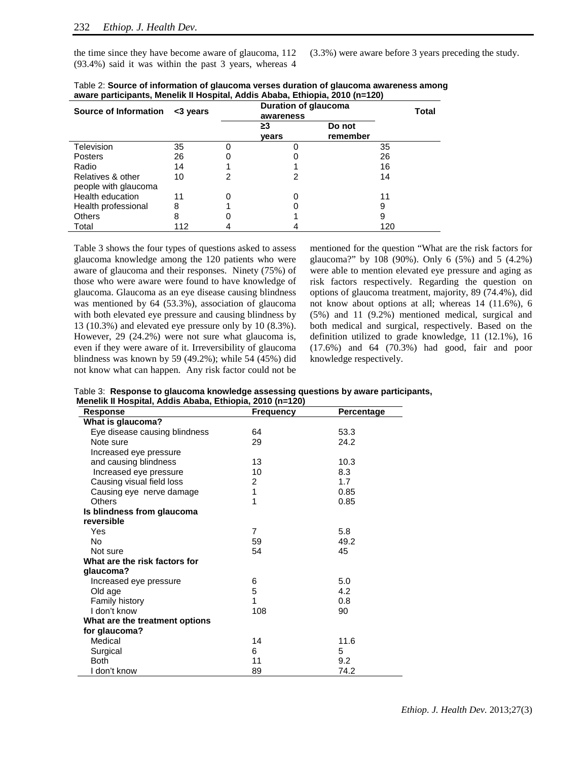the time since they have become aware of glaucoma, 112 (93.4%) said it was within the past 3 years, whereas 4 (3.3%) were aware before 3 years preceding the study.

| <b>Source of Information</b> | <3 years | Duration of glaucoma<br>awareness |       |          | Total |  |
|------------------------------|----------|-----------------------------------|-------|----------|-------|--|
|                              |          |                                   | ≥3    | Do not   |       |  |
|                              |          |                                   | vears | remember |       |  |
| Television                   | 35       |                                   |       |          | 35    |  |
| <b>Posters</b>               | 26       |                                   |       |          | 26    |  |
| Radio                        | 14       |                                   |       |          | 16    |  |
| Relatives & other            | 10       | 2                                 |       |          | 14    |  |
| people with glaucoma         |          |                                   |       |          |       |  |
| Health education             | 11       |                                   |       |          | 11    |  |
| Health professional          | 8        |                                   |       |          |       |  |
| <b>Others</b>                | 8        |                                   |       |          | 9     |  |
| Total                        | 112      |                                   |       |          | 120   |  |

| Table 2: Source of information of glaucoma verses duration of glaucoma awareness among |
|----------------------------------------------------------------------------------------|
| aware participants, Menelik II Hospital, Addis Ababa, Ethiopia, 2010 (n=120)           |

Table 3 shows the four types of questions asked to assess glaucoma knowledge among the 120 patients who were aware of glaucoma and their responses. Ninety (75%) of those who were aware were found to have knowledge of glaucoma. Glaucoma as an eye disease causing blindness was mentioned by 64 (53.3%), association of glaucoma with both elevated eye pressure and causing blindness by 13 (10.3%) and elevated eye pressure only by 10 (8.3%). However, 29 (24.2%) were not sure what glaucoma is, even if they were aware of it. Irreversibility of glaucoma blindness was known by 59 (49.2%); while 54 (45%) did not know what can happen. Any risk factor could not be mentioned for the question "What are the risk factors for glaucoma?" by 108 (90%). Only 6 (5%) and 5 (4.2%) were able to mention elevated eye pressure and aging as risk factors respectively. Regarding the question on options of glaucoma treatment, majority, 89 (74.4%), did not know about options at all; whereas 14 (11.6%), 6 (5%) and 11 (9.2%) mentioned medical, surgical and both medical and surgical, respectively. Based on the definition utilized to grade knowledge, 11 (12.1%), 16 (17.6%) and 64 (70.3%) had good, fair and poor knowledge respectively.

Table 3: **Response to glaucoma knowledge assessing questions by aware participants, Menelik II Hospital, Addis Ababa, Ethiopia, 2010 (n=120)**

| m<br><b>Response</b>           | Frequency | Percentage |
|--------------------------------|-----------|------------|
| What is glaucoma?              |           |            |
| Eye disease causing blindness  | 64        | 53.3       |
| Note sure                      | 29        | 24.2       |
| Increased eye pressure         |           |            |
| and causing blindness          | 13        | 10.3       |
| Increased eye pressure         | 10        | 8.3        |
| Causing visual field loss      | 2         | 1.7        |
| Causing eye nerve damage       | 1         | 0.85       |
| Others                         | 1         | 0.85       |
| Is blindness from glaucoma     |           |            |
| reversible                     |           |            |
| Yes                            | 7         | 5.8        |
| No                             | 59        | 49.2       |
| Not sure                       | 54        | 45         |
| What are the risk factors for  |           |            |
| glaucoma?                      |           |            |
| Increased eye pressure         | 6         | 5.0        |
| Old age                        | 5         | 4.2        |
| Family history                 | 1         | 0.8        |
| I don't know                   | 108       | 90         |
| What are the treatment options |           |            |
| for glaucoma?                  |           |            |
| Medical                        | 14        | 11.6       |
| Surgical                       | 6         | 5          |
| <b>Both</b>                    | 11        | 9.2        |
| I don't know                   | 89        | 74.2       |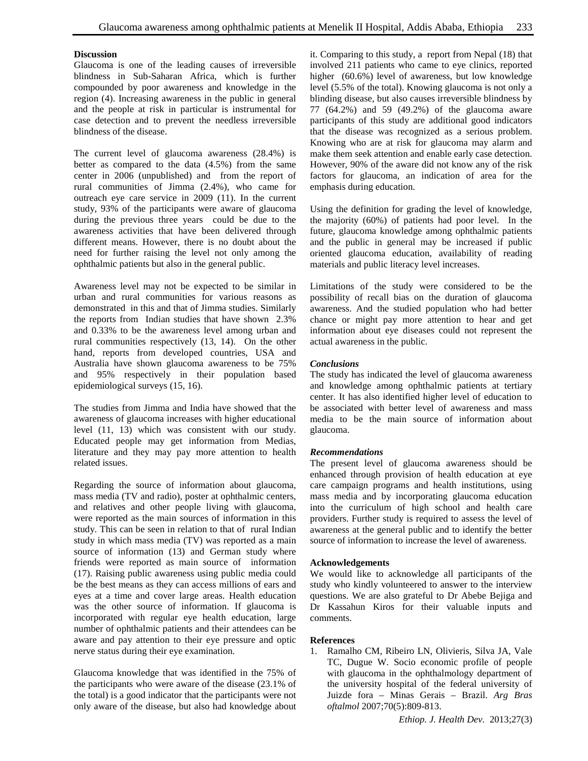#### **Discussion**

Glaucoma is one of the leading causes of irreversible blindness in Sub-Saharan Africa, which is further compounded by poor awareness and knowledge in the region (4). Increasing awareness in the public in general and the people at risk in particular is instrumental for case detection and to prevent the needless irreversible blindness of the disease.

The current level of glaucoma awareness (28.4%) is better as compared to the data (4.5%) from the same center in 2006 (unpublished) and from the report of rural communities of Jimma (2.4%), who came for outreach eye care service in 2009 (11). In the current study, 93% of the participants were aware of glaucoma during the previous three years could be due to the awareness activities that have been delivered through different means. However, there is no doubt about the need for further raising the level not only among the ophthalmic patients but also in the general public.

Awareness level may not be expected to be similar in urban and rural communities for various reasons as demonstrated in this and that of Jimma studies. Similarly the reports from Indian studies that have shown 2.3% and 0.33% to be the awareness level among urban and rural communities respectively (13, 14). On the other hand, reports from developed countries, USA and Australia have shown glaucoma awareness to be 75% and 95% respectively in their population based epidemiological surveys (15, 16).

The studies from Jimma and India have showed that the awareness of glaucoma increases with higher educational level (11, 13) which was consistent with our study. Educated people may get information from Medias, literature and they may pay more attention to health related issues.

Regarding the source of information about glaucoma, mass media (TV and radio), poster at ophthalmic centers, and relatives and other people living with glaucoma, were reported as the main sources of information in this study. This can be seen in relation to that of rural Indian study in which mass media (TV) was reported as a main source of information (13) and German study where friends were reported as main source of information (17). Raising public awareness using public media could be the best means as they can access millions of ears and eyes at a time and cover large areas. Health education was the other source of information. If glaucoma is incorporated with regular eye health education, large number of ophthalmic patients and their attendees can be aware and pay attention to their eye pressure and optic nerve status during their eye examination.

Glaucoma knowledge that was identified in the 75% of the participants who were aware of the disease (23.1% of the total) is a good indicator that the participants were not only aware of the disease, but also had knowledge about it. Comparing to this study, a report from Nepal (18) that involved 211 patients who came to eye clinics, reported higher (60.6%) level of awareness, but low knowledge level (5.5% of the total). Knowing glaucoma is not only a blinding disease, but also causes irreversible blindness by 77 (64.2%) and 59 (49.2%) of the glaucoma aware participants of this study are additional good indicators that the disease was recognized as a serious problem. Knowing who are at risk for glaucoma may alarm and make them seek attention and enable early case detection. However, 90% of the aware did not know any of the risk factors for glaucoma, an indication of area for the emphasis during education.

Using the definition for grading the level of knowledge, the majority (60%) of patients had poor level. In the future, glaucoma knowledge among ophthalmic patients and the public in general may be increased if public oriented glaucoma education, availability of reading materials and public literacy level increases.

Limitations of the study were considered to be the possibility of recall bias on the duration of glaucoma awareness. And the studied population who had better chance or might pay more attention to hear and get information about eye diseases could not represent the actual awareness in the public.

#### *Conclusions*

The study has indicated the level of glaucoma awareness and knowledge among ophthalmic patients at tertiary center. It has also identified higher level of education to be associated with better level of awareness and mass media to be the main source of information about glaucoma.

# *Recommendations*

The present level of glaucoma awareness should be enhanced through provision of health education at eye care campaign programs and health institutions, using mass media and by incorporating glaucoma education into the curriculum of high school and health care providers. Further study is required to assess the level of awareness at the general public and to identify the better source of information to increase the level of awareness.

# **Acknowledgements**

We would like to acknowledge all participants of the study who kindly volunteered to answer to the interview questions. We are also grateful to Dr Abebe Bejiga and Dr Kassahun Kiros for their valuable inputs and comments.

# **References**

1. Ramalho CM, Ribeiro LN, Olivieris, Silva JA, Vale TC, Dugue W. Socio economic profile of people with glaucoma in the ophthalmology department of the university hospital of the federal university of Juizde fora – Minas Gerais – Brazil. *Arg Bras oftalmol* 2007;70(5):809-813.